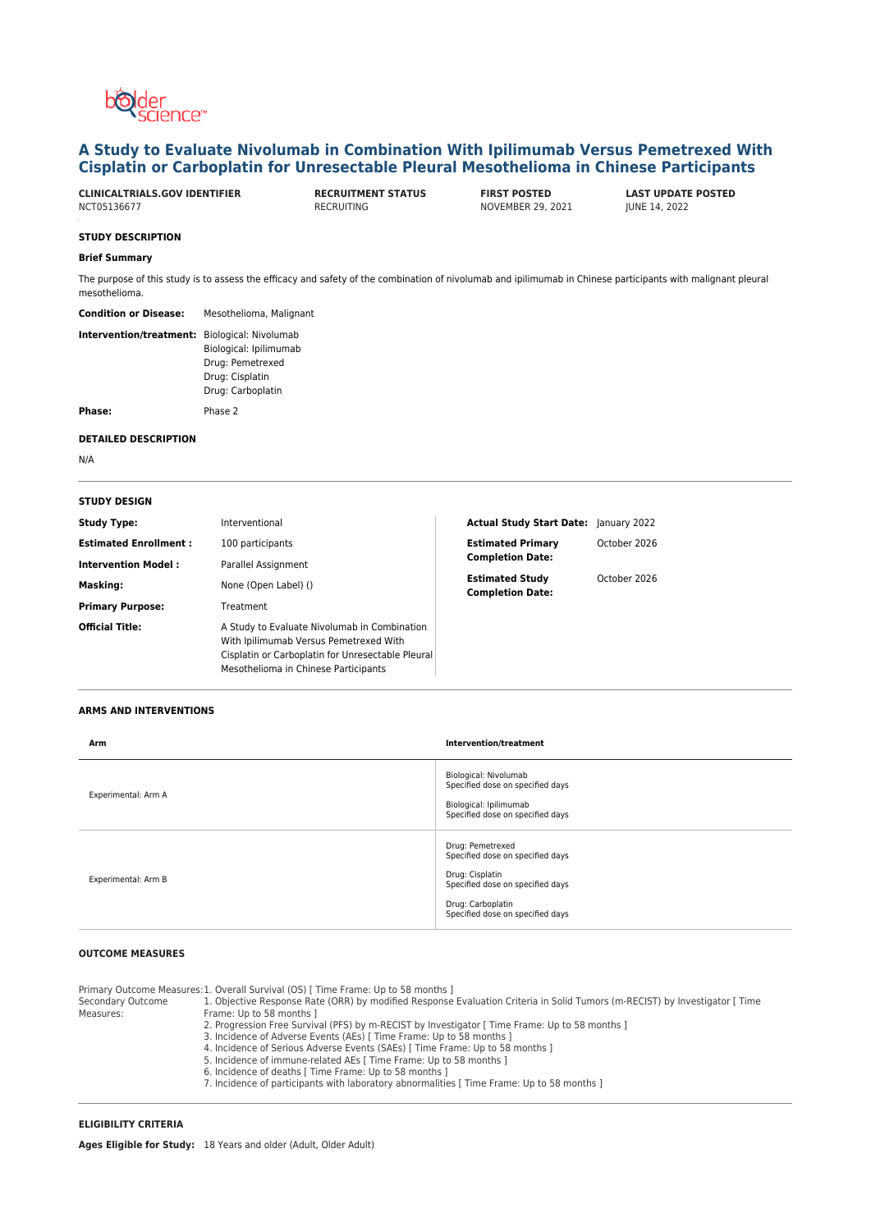

# **A Study to Evaluate Nivolumab in Combination With Ipilimumab Versus Pemetrexed With Cisplatin or Carboplatin for Unresectable Pleural Mesothelioma in Chinese Participants**

**CLINICALTRIALS.GOV IDENTIFIER RECRUITMENT STATUS FIRST POSTED LAST UPDATE POSTED**

NOVEMBER 29, 2021

## **STUDY DESCRIPTION**

#### **Brief Summary**

The purpose of this study is to assess the efficacy and safety of the combination of nivolumab and ipilimumab in Chinese participants with malignant pleural mesothelioma.

| Mesothelioma, Malignant                                                                                        |
|----------------------------------------------------------------------------------------------------------------|
| Intervention/treatment: Biological: Nivolumab<br>Biological: Ipilimumab<br>Drug: Pemetrexed<br>Drug: Cisplatin |
| Drug: Carboplatin                                                                                              |
|                                                                                                                |

**Phase:** Phase 2

### **DETAILED DESCRIPTION**

N/A

## **STUDY DESIGN**

| <b>Study Type:</b>           | Interventional                                                                                                                                                                      | Actual Study Start Date: January 2022             |              |
|------------------------------|-------------------------------------------------------------------------------------------------------------------------------------------------------------------------------------|---------------------------------------------------|--------------|
| <b>Estimated Enrollment:</b> | 100 participants                                                                                                                                                                    | <b>Estimated Primary</b>                          | October 2026 |
| <b>Intervention Model:</b>   | Parallel Assignment                                                                                                                                                                 | <b>Completion Date:</b>                           |              |
| <b>Masking:</b>              | None (Open Label) ()                                                                                                                                                                | <b>Estimated Study</b><br><b>Completion Date:</b> | October 2026 |
| <b>Primary Purpose:</b>      | Treatment                                                                                                                                                                           |                                                   |              |
| <b>Official Title:</b>       | A Study to Evaluate Nivolumab in Combination<br>With Ipilimumab Versus Pemetrexed With<br>Cisplatin or Carboplatin for Unresectable Pleural<br>Mesothelioma in Chinese Participants |                                                   |              |

# **ARMS AND INTERVENTIONS**

| Arm                 | Intervention/treatment                                                                                                                                               |
|---------------------|----------------------------------------------------------------------------------------------------------------------------------------------------------------------|
| Experimental: Arm A | Biological: Nivolumab<br>Specified dose on specified days<br>Biological: Ipilimumab<br>Specified dose on specified days                                              |
| Experimental: Arm B | Drug: Pemetrexed<br>Specified dose on specified days<br>Drug: Cisplatin<br>Specified dose on specified days<br>Drug: Carboplatin<br>Specified dose on specified days |

# **OUTCOME MEASURES**

Measures:

Primary Outcome Measures:1. Overall Survival (OS) [ Time Frame: Up to 58 months ] Secondary Outcome

- 1. Objective Response Rate (ORR) by modified Response Evaluation Criteria in Solid Tumors (m-RECIST) by Investigator [ Time Frame: Up to 58 months ]
	- 2. Progression Free Survival (PFS) by m-RECIST by Investigator [ Time Frame: Up to 58 months ]
	- 3. Incidence of Adverse Events (AEs) [ Time Frame: Up to 58 months ]
		-
		- 4. Incidence of Serious Adverse Events (SAEs) [ Time Frame: Up to 58 months ] 5. Incidence of immune-related AEs [ Time Frame: Up to 58 months ]
	- 6. Incidence of deaths [ Time Frame: Up to 58 months ]
	- 7. Incidence of participants with laboratory abnormalities [ Time Frame: Up to 58 months ]

# **ELIGIBILITY CRITERIA**

**Ages Eligible for Study:** 18 Years and older (Adult, Older Adult)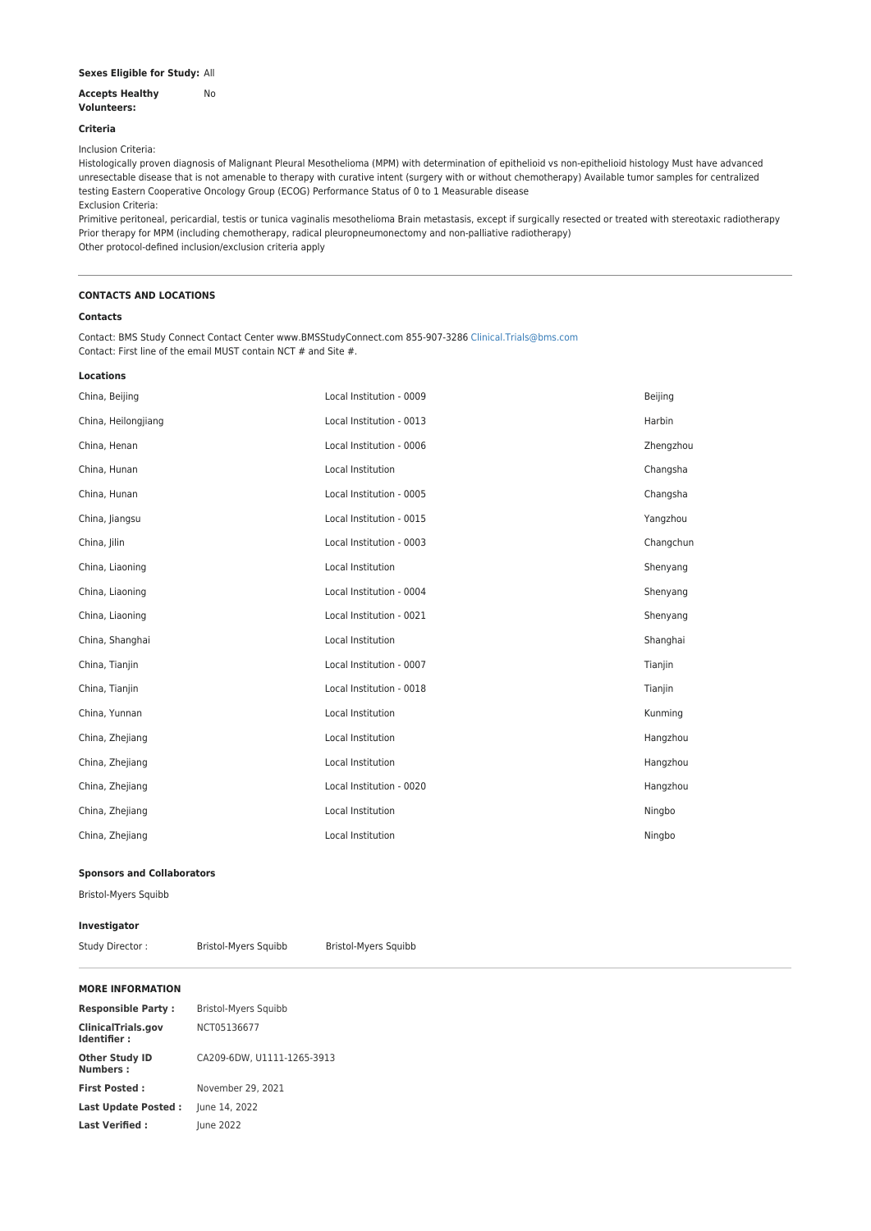# **Sexes Eligible for Study:** All

#### **Accepts Healthy Volunteers:** No

# **Criteria**

Inclusion Criteria:

Histologically proven diagnosis of Malignant Pleural Mesothelioma (MPM) with determination of epithelioid vs non-epithelioid histology Must have advanced unresectable disease that is not amenable to therapy with curative intent (surgery with or without chemotherapy) Available tumor samples for centralized testing Eastern Cooperative Oncology Group (ECOG) Performance Status of 0 to 1 Measurable disease Exclusion Criteria:

Primitive peritoneal, pericardial, testis or tunica vaginalis mesothelioma Brain metastasis, except if surgically resected or treated with stereotaxic radiotherapy Prior therapy for MPM (including chemotherapy, radical pleuropneumonectomy and non-palliative radiotherapy) Other protocol-defined inclusion/exclusion criteria apply

### **CONTACTS AND LOCATIONS**

## **Contacts**

Contact: BMS Study Connect Contact Center www.BMSStudyConnect.com 855-907-3286 [Clinical.Trials@bms.com](mailto:Clinical.Trials@bms.com) Contact: First line of the email MUST contain NCT # and Site #.

## **Locations**

| China, Beijing      | Local Institution - 0009 | Beijing   |
|---------------------|--------------------------|-----------|
| China, Heilongjiang | Local Institution - 0013 | Harbin    |
| China, Henan        | Local Institution - 0006 | Zhengzhou |
| China, Hunan        | Local Institution        | Changsha  |
| China, Hunan        | Local Institution - 0005 | Changsha  |
| China, Jiangsu      | Local Institution - 0015 | Yangzhou  |
| China, Jilin        | Local Institution - 0003 | Changchun |
| China, Liaoning     | Local Institution        | Shenyang  |
| China, Liaoning     | Local Institution - 0004 | Shenyang  |
| China, Liaoning     | Local Institution - 0021 | Shenyang  |
| China, Shanghai     | Local Institution        | Shanghai  |
| China, Tianjin      | Local Institution - 0007 | Tianjin   |
| China, Tianjin      | Local Institution - 0018 | Tianjin   |
| China, Yunnan       | Local Institution        | Kunming   |
| China, Zhejiang     | Local Institution        | Hangzhou  |
| China, Zhejiang     | Local Institution        | Hangzhou  |
| China, Zhejiang     | Local Institution - 0020 | Hangzhou  |
| China, Zhejiang     | Local Institution        | Ningbo    |
| China, Zhejiang     | Local Institution        | Ningbo    |
|                     |                          |           |

### **Sponsors and Collaborators**

Bristol-Myers Squibb

**Investigator**

Study Director : Bristol-Myers Squibb Bristol-Myers Squibb

#### **MORE INFORMATION**

| <b>Responsible Party:</b>                | Bristol-Myers Squibb       |
|------------------------------------------|----------------------------|
| <b>ClinicalTrials.gov</b><br>Identifier: | NCT05136677                |
| <b>Other Study ID</b><br><b>Numbers:</b> | CA209-6DW. U1111-1265-3913 |
| <b>First Posted:</b>                     | November 29, 2021          |
| <b>Last Update Posted:</b>               | June 14, 2022              |
| <b>Last Verified:</b>                    | June 2022                  |